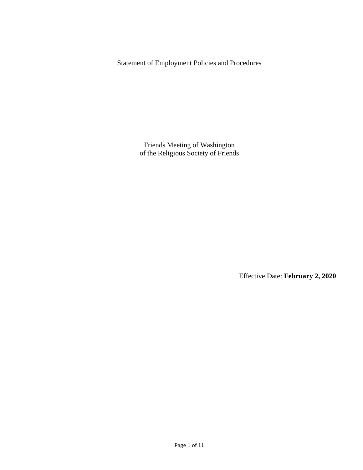Statement of Employment Policies and Procedures

Friends Meeting of Washington of the Religious Society of Friends

Effective Date: **February 2, 2020**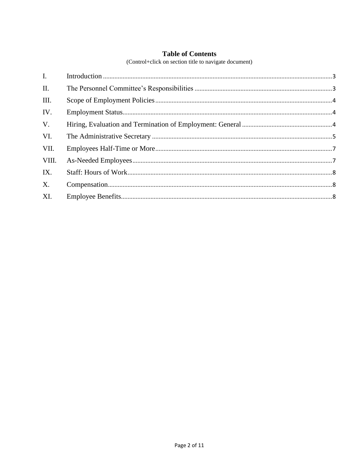# **Table of Contents**

(Control+click on section title to navigate document)

| $\mathbf{I}$ . |  |
|----------------|--|
| II.            |  |
| III.           |  |
| IV.            |  |
| V.             |  |
| VI.            |  |
| VII.           |  |
| VIII.          |  |
| IX.            |  |
| $X_{\cdot}$    |  |
| XI.            |  |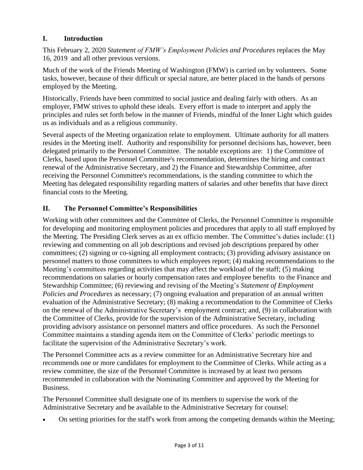## <span id="page-2-0"></span>**I. Introduction**

This February 2, 2020 *Statement of FMW's Employment Policies and Procedures* replaces the May 16, 2019 and all other previous versions.

Much of the work of the Friends Meeting of Washington (FMW) is carried on by volunteers. Some tasks, however, because of their difficult or special nature, are better placed in the hands of persons employed by the Meeting.

Historically, Friends have been committed to social justice and dealing fairly with others. As an employer, FMW strives to uphold these ideals. Every effort is made to interpret and apply the principles and rules set forth below in the manner of Friends, mindful of the Inner Light which guides us as individuals and as a religious community.

Several aspects of the Meeting organization relate to employment. Ultimate authority for all matters resides in the Meeting itself. Authority and responsibility for personnel decisions has, however, been delegated primarily to the Personnel Committee. The notable exceptions are: 1) the Committee of Clerks, based upon the Personnel Committee's recommendation, determines the hiring and contract renewal of the Administrative Secretary, and 2) the Finance and Stewardship Committee, after receiving the Personnel Committee's recommendations, is the standing committee to which the Meeting has delegated responsibility regarding matters of salaries and other benefits that have direct financial costs to the Meeting.

# <span id="page-2-1"></span>**II. The Personnel Committee's Responsibilities**

Working with other committees and the Committee of Clerks, the Personnel Committee is responsible for developing and monitoring employment policies and procedures that apply to all staff employed by the Meeting. The Presiding Clerk serves as an ex officio member. The Committee's duties include: (1) reviewing and commenting on all job descriptions and revised job descriptions prepared by other committees; (2) signing or co-signing all employment contracts; (3) providing advisory assistance on personnel matters to those committees to which employees report; (4) making recommendations to the Meeting's committees regarding activities that may affect the workload of the staff; (5) making recommendations on salaries or hourly compensation rates and employee benefits to the Finance and Stewardship Committee; (6) reviewing and revising of the Meeting's *Statement of Employment Policies and Procedures* as necessary; (7) ongoing evaluation and preparation of an annual written evaluation of the Administrative Secretary; (8) making a recommendation to the Committee of Clerks on the renewal of the Administrative Secretary's employment contract; and, (9) in collaboration with the Committee of Clerks, provide for the supervision of the Administrative Secretary, including providing advisory assistance on personnel matters and office procedures. As such the Personnel Committee maintains a standing agenda item on the Committee of Clerks' periodic meetings to facilitate the supervision of the Administrative Secretary's work.

The Personnel Committee acts as a review committee for an Administrative Secretary hire and recommends one or more candidates for employment to the Committee of Clerks. While acting as a review committee, the size of the Personnel Committee is increased by at least two persons recommended in collaboration with the Nominating Committee and approved by the Meeting for Business.

The Personnel Committee shall designate one of its members to supervise the work of the Administrative Secretary and be available to the Administrative Secretary for counsel:

• On setting priorities for the staff's work from among the competing demands within the Meeting;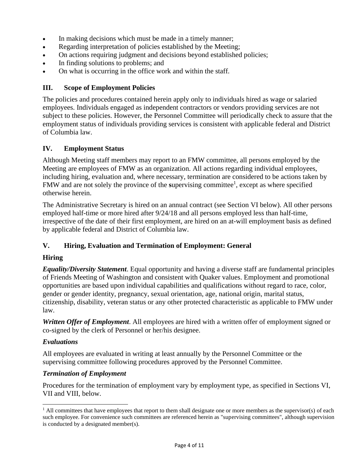- In making decisions which must be made in a timely manner;
- Regarding interpretation of policies established by the Meeting;
- On actions requiring judgment and decisions beyond established policies;
- In finding solutions to problems; and
- On what is occurring in the office work and within the staff.

#### <span id="page-3-0"></span>**III. Scope of Employment Policies**

The policies and procedures contained herein apply only to individuals hired as wage or salaried employees. Individuals engaged as independent contractors or vendors providing services are not subject to these policies. However, the Personnel Committee will periodically check to assure that the employment status of individuals providing services is consistent with applicable federal and District of Columbia law.

#### <span id="page-3-1"></span>**IV. Employment Status**

Although Meeting staff members may report to an FMW committee, all persons employed by the Meeting are employees of FMW as an organization. All actions regarding individual employees, including hiring, evaluation and, where necessary, termination are considered to be actions taken by FMW and are not solely the province of the supervising committee<sup>1</sup>, except as where specified otherwise herein.

The Administrative Secretary is hired on an annual contract (see Section VI below). All other persons employed half-time or more hired after 9/24/18 and all persons employed less than half-time, irrespective of the date of their first employment, are hired on an at-will employment basis as defined by applicable federal and District of Columbia law.

#### <span id="page-3-2"></span>**V. Hiring, Evaluation and Termination of Employment: General**

#### **Hiring**

*Equality/Diversity Statement*. Equal opportunity and having a diverse staff are fundamental principles of Friends Meeting of Washington and consistent with Quaker values. Employment and promotional opportunities are based upon individual capabilities and qualifications without regard to race, color, gender or gender identity, pregnancy, sexual orientation, age, national origin, marital status, citizenship, disability, veteran status or any other protected characteristic as applicable to FMW under law.

*Written Offer of Employment*. All employees are hired with a written offer of employment signed or co-signed by the clerk of Personnel or her/his designee.

#### *Evaluations*

All employees are evaluated in writing at least annually by the Personnel Committee or the supervising committee following procedures approved by the Personnel Committee.

#### *Termination of Employment*

Procedures for the termination of employment vary by employment type, as specified in Sections VI, VII and VIII, below.

 $<sup>1</sup>$  All committees that have employees that report to them shall designate one or more members as the supervisor(s) of each</sup> such employee. For convenience such committees are referenced herein as "supervising committees", although supervision is conducted by a designated member(s).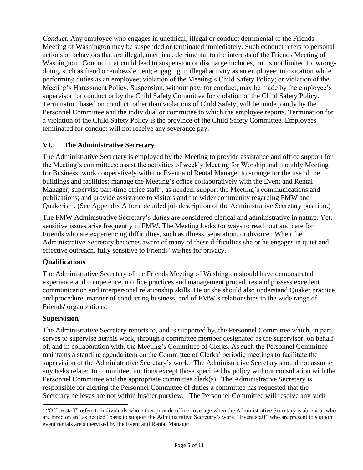*Conduct*. Any employee who engages in unethical, illegal or conduct detrimental to the Friends Meeting of Washington may be suspended or terminated immediately. Such conduct refers to personal actions or behaviors that are illegal, unethical, detrimental to the interests of the Friends Meeting of Washington. Conduct that could lead to suspension or discharge includes, but is not limited to, wrongdoing, such as fraud or embezzlement; engaging in illegal activity as an employee; intoxication while performing duties as an employee; violation of the Meeting's Child Safety Policy; or violation of the Meeting's Harassment Policy. Suspension, without pay, for conduct, may be made by the employee's supervisor for conduct or by the Child Safety Committee for violation of the Child Safety Policy. Termination based on conduct, other than violations of Child Safety, will be made jointly by the Personnel Committee and the individual or committee to which the employee reports. Termination for a violation of the Child Safety Policy is the province of the Child Safety Committee. Employees terminated for conduct will not receive any severance pay.

## <span id="page-4-0"></span>**VI. The Administrative Secretary**

The Administrative Secretary is employed by the Meeting to provide assistance and office support for the Meeting's committees; assist the activities of weekly Meeting for Worship and monthly Meeting for Business; work cooperatively with the Event and Rental Manager to arrange for the use of the buildings and facilities; manage the Meeting's office collaboratively with the Event and Rental Manager; supervise part-time office staff<sup>2</sup>, as needed; support the Meeting's communications and publications; and provide assistance to visitors and the wider community regarding FMW and Quakerism. (See Appendix A for a detailed job description of the Administrative Secretary position.)

The FMW Administrative Secretary's duties are considered clerical and administrative in nature. Yet, sensitive issues arise frequently in FMW. The Meeting looks for ways to reach out and care for Friends who are experiencing difficulties, such as illness, separation, or divorce. When the Administrative Secretary becomes aware of many of these difficulties she or he engages in quiet and effective outreach, fully sensitive to Friends' wishes for privacy.

#### **Qualifications**

The Administrative Secretary of the Friends Meeting of Washington should have demonstrated experience and competence in office practices and management procedures and possess excellent communication and interpersonal relationship skills. He or she should also understand Quaker practice and procedure, manner of conducting business, and of FMW's relationships to the wide range of Friends' organizations.

#### **Supervision**

The Administrative Secretary reports to, and is supported by, the Personnel Committee which, in part, serves to supervise her/his work**,** through a committee member designated as the supervisor, on behalf of, and in collaboration with, the Meeting's Committee of Clerks. As such the Personnel Committee maintains a standing agenda item on the Committee of Clerks' periodic meetings to facilitate the supervision of the Administrative Secretary's work. The Administrative Secretary should not assume any tasks related to committee functions except those specified by policy without consultation with the Personnel Committee and the appropriate committee clerk(s). The Administrative Secretary is responsible for alerting the Personnel Committee of duties a committee has requested that the Secretary believes are not within his/her purview. The Personnel Committee will resolve any such

<sup>&</sup>lt;sup>2</sup> "Office staff" refers to individuals who either provide office coverage when the Administrative Secretary is absent or who are hired on an "as needed" basis to support the Administrative Secretary's work. "Event staff" who are present to support event rentals are supervised by the Event and Rental Manager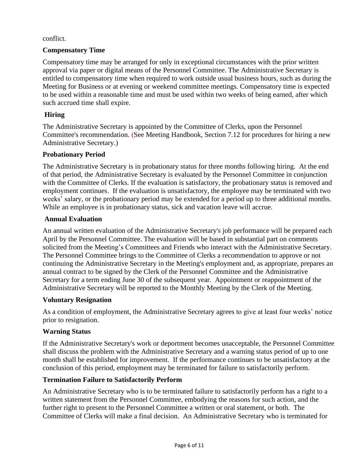#### conflict.

## **Compensatory Time**

Compensatory time may be arranged for only in exceptional circumstances with the prior written approval via paper or digital means of the Personnel Committee. The Administrative Secretary is entitled to compensatory time when required to work outside usual business hours, such as during the Meeting for Business or at evening or weekend committee meetings. Compensatory time is expected to be used within a reasonable time and must be used within two weeks of being earned, after which such accrued time shall expire.

## **Hiring**

The Administrative Secretary is appointed by the Committee of Clerks, upon the Personnel Committee's recommendation. (See Meeting Handbook, Section 7.12 for procedures for hiring a new Administrative Secretary.)

#### **Probationary Period**

The Administrative Secretary is in probationary status for three months following hiring. At the end of that period, the Administrative Secretary is evaluated by the Personnel Committee in conjunction with the Committee of Clerks. If the evaluation is satisfactory, the probationary status is removed and employment continues. If the evaluation is unsatisfactory, the employee may be terminated with two weeks' salary, or the probationary period may be extended for a period up to three additional months. While an employee is in probationary status, sick and vacation leave will accrue.

#### **Annual Evaluation**

An annual written evaluation of the Administrative Secretary's job performance will be prepared each April by the Personnel Committee. The evaluation will be based in substantial part on comments solicited from the Meeting's Committees and Friends who interact with the Administrative Secretary. The Personnel Committee brings to the Committee of Clerks a recommendation to approve or not continuing the Administrative Secretary in the Meeting's employment and, as appropriate, prepares an annual contract to be signed by the Clerk of the Personnel Committee and the Administrative Secretary for a term ending June 30 of the subsequent year. Appointment or reappointment of the Administrative Secretary will be reported to the Monthly Meeting by the Clerk of the Meeting.

#### **Voluntary Resignation**

As a condition of employment, the Administrative Secretary agrees to give at least four weeks' notice prior to resignation.

#### **Warning Status**

If the Administrative Secretary's work or deportment becomes unacceptable, the Personnel Committee shall discuss the problem with the Administrative Secretary and a warning status period of up to one month shall be established for improvement. If the performance continues to be unsatisfactory at the conclusion of this period, employment may be terminated for failure to satisfactorily perform.

#### **Termination Failure to Satisfactorily Perform**

An Administrative Secretary who is to be terminated failure to satisfactorily perform has a right to a written statement from the Personnel Committee, embodying the reasons for such action, and the further right to present to the Personnel Committee a written or oral statement, or both. The Committee of Clerks will make a final decision. An Administrative Secretary who is terminated for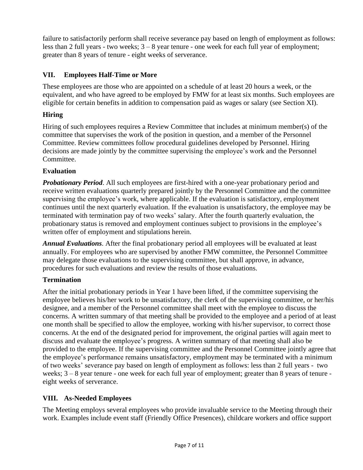failure to satisfactorily perform shall receive severance pay based on length of employment as follows: less than 2 full years - two weeks; 3 – 8 year tenure - one week for each full year of employment; greater than 8 years of tenure - eight weeks of serverance.

## <span id="page-6-0"></span>**VII. Employees Half-Time or More**

These employees are those who are appointed on a schedule of at least 20 hours a week, or the equivalent, and who have agreed to be employed by FMW for at least six months. Such employees are eligible for certain benefits in addition to compensation paid as wages or salary (see Section XI).

## **Hiring**

Hiring of such employees requires a Review Committee that includes at minimum member(s) of the committee that supervises the work of the position in question, and a member of the Personnel Committee. Review committees follow procedural guidelines developed by Personnel. Hiring decisions are made jointly by the committee supervising the employee's work and the Personnel Committee.

# **Evaluation**

*Probationary Period.* All such employees are first-hired with a one-year probationary period and receive written evaluations quarterly prepared jointly by the Personnel Committee and the committee supervising the employee's work, where applicable. If the evaluation is satisfactory, employment continues until the next quarterly evaluation. If the evaluation is unsatisfactory, the employee may be terminated with termination pay of two weeks' salary. After the fourth quarterly evaluation, the probationary status is removed and employment continues subject to provisions in the employee's written offer of employment and stipulations herein.

*Annual Evaluations*. After the final probationary period all employees will be evaluated at least annually. For employees who are supervised by another FMW committee, the Personnel Committee may delegate those evaluations to the supervising committee, but shall approve, in advance, procedures for such evaluations and review the results of those evaluations.

## **Termination**

After the initial probationary periods in Year 1 have been lifted, if the committee supervising the employee believes his/her work to be unsatisfactory, the clerk of the supervising committee, or her/his designee, and a member of the Personnel committee shall meet with the employee to discuss the concerns. A written summary of that meeting shall be provided to the employee and a period of at least one month shall be specified to allow the employee, working with his/her supervisor, to correct those concerns. At the end of the designated period for improvement, the original parties will again meet to discuss and evaluate the employee's progress. A written summary of that meeting shall also be provided to the employee. If the supervising committee and the Personnel Committee jointly agree that the employee's performance remains unsatisfactory, employment may be terminated with a minimum of two weeks' severance pay based on length of employment as follows: less than 2 full years - two weeks; 3 – 8 year tenure - one week for each full year of employment; greater than 8 years of tenure eight weeks of serverance.

## <span id="page-6-1"></span>**VIII. As-Needed Employees**

The Meeting employs several employees who provide invaluable service to the Meeting through their work. Examples include event staff (Friendly Office Presences), childcare workers and office support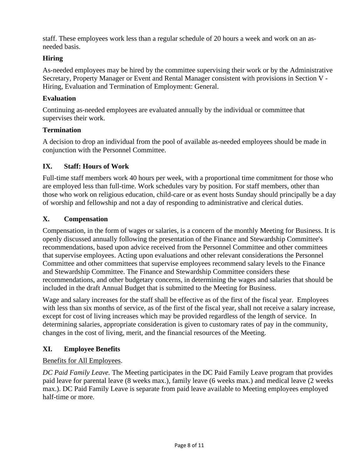staff. These employees work less than a regular schedule of 20 hours a week and work on an asneeded basis.

## **Hiring**

As-needed employees may be hired by the committee supervising their work or by the Administrative Secretary, Property Manager or Event and Rental Manager consistent with provisions in Section V - Hiring, Evaluation and Termination of Employment: General.

#### **Evaluation**

Continuing as-needed employees are evaluated annually by the individual or committee that supervises their work.

## **Termination**

A decision to drop an individual from the pool of available as-needed employees should be made in conjunction with the Personnel Committee.

## <span id="page-7-0"></span>**IX. Staff: Hours of Work**

Full-time staff members work 40 hours per week, with a proportional time commitment for those who are employed less than full-time. Work schedules vary by position. For staff members, other than those who work on religious education, child-care or as event hosts Sunday should principally be a day of worship and fellowship and not a day of responding to administrative and clerical duties.

## <span id="page-7-1"></span>**X. Compensation**

Compensation, in the form of wages or salaries, is a concern of the monthly Meeting for Business. It is openly discussed annually following the presentation of the Finance and Stewardship Committee's recommendations, based upon advice received from the Personnel Committee and other committees that supervise employees. Acting upon evaluations and other relevant considerations the Personnel Committee and other committees that supervise employees recommend salary levels to the Finance and Stewardship Committee. The Finance and Stewardship Committee considers these recommendations, and other budgetary concerns, in determining the wages and salaries that should be included in the draft Annual Budget that is submitted to the Meeting for Business.

Wage and salary increases for the staff shall be effective as of the first of the fiscal year. Employees with less than six months of service, as of the first of the fiscal year, shall not receive a salary increase, except for cost of living increases which may be provided regardless of the length of service. In determining salaries, appropriate consideration is given to customary rates of pay in the community, changes in the cost of living, merit, and the financial resources of the Meeting.

## <span id="page-7-2"></span>**XI. Employee Benefits**

#### Benefits for All Employees.

*DC Paid Family Leave.* The Meeting participates in the DC Paid Family Leave program that provides paid leave for parental leave (8 weeks max.), family leave (6 weeks max.) and medical leave (2 weeks max.). DC Paid Family Leave is separate from paid leave available to Meeting employees employed half-time or more.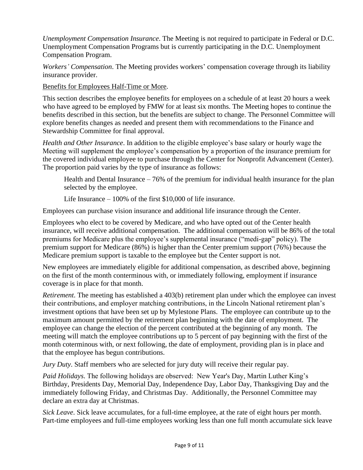*Unemployment Compensation Insurance*. The Meeting is not required to participate in Federal or D.C. Unemployment Compensation Programs but is currently participating in the D.C. Unemployment Compensation Program.

*Workers' Compensation*. The Meeting provides workers' compensation coverage through its liability insurance provider.

Benefits for Employees Half-Time or More.

This section describes the employee benefits for employees on a schedule of at least 20 hours a week who have agreed to be employed by FMW for at least six months. The Meeting hopes to continue the benefits described in this section, but the benefits are subject to change. The Personnel Committee will explore benefits changes as needed and present them with recommendations to the Finance and Stewardship Committee for final approval.

*Health and Other Insurance*. In addition to the eligible employee's base salary or hourly wage the Meeting will supplement the employee's compensation by a proportion of the insurance premium for the covered individual employee to purchase through the Center for Nonprofit Advancement (Center). The proportion paid varies by the type of insurance as follows:

Health and Dental Insurance  $-76\%$  of the premium for individual health insurance for the plan selected by the employee.

Life Insurance – 100% of the first \$10,000 of life insurance.

Employees can purchase vision insurance and additional life insurance through the Center.

Employees who elect to be covered by Medicare, and who have opted out of the Center health insurance, will receive additional compensation. The additional compensation will be 86% of the total premiums for Medicare plus the employee's supplemental insurance ("medi-gap" policy). The premium support for Medicare (86%) is higher than the Center premium support (76%) because the Medicare premium support is taxable to the employee but the Center support is not.

New employees are immediately eligible for additional compensation, as described above, beginning on the first of the month conterminous with, or immediately following, employment if insurance coverage is in place for that month.

*Retirement*. The meeting has established a 403(b) retirement plan under which the employee can invest their contributions, and employer matching contributions, in the Lincoln National retirement plan's investment options that have been set up by Mylestone Plans. The employee can contribute up to the maximum amount permitted by the retirement plan beginning with the date of employment. The employee can change the election of the percent contributed at the beginning of any month. The meeting will match the employee contributions up to 5 percent of pay beginning with the first of the month coterminous with, or next following, the date of employment, providing plan is in place and that the employee has begun contributions.

*Jury Duty*. Staff members who are selected for jury duty will receive their regular pay.

*Paid Holidays*. The following holidays are observed: New Year's Day, Martin Luther King's Birthday, Presidents Day, Memorial Day, Independence Day, Labor Day, Thanksgiving Day and the immediately following Friday, and Christmas Day. Additionally, the Personnel Committee may declare an extra day at Christmas.

*Sick Leave*. Sick leave accumulates, for a full-time employee, at the rate of eight hours per month. Part-time employees and full-time employees working less than one full month accumulate sick leave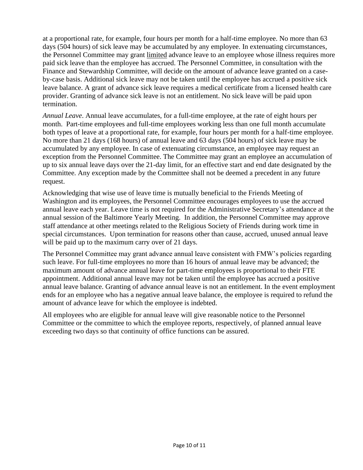at a proportional rate, for example, four hours per month for a half-time employee. No more than 63 days (504 hours) of sick leave may be accumulated by any employee. In extenuating circumstances, the Personnel Committee may grant limited advance leave to an employee whose illness requires more paid sick leave than the employee has accrued. The Personnel Committee, in consultation with the Finance and Stewardship Committee, will decide on the amount of advance leave granted on a caseby-case basis. Additional sick leave may not be taken until the employee has accrued a positive sick leave balance. A grant of advance sick leave requires a medical certificate from a licensed health care provider. Granting of advance sick leave is not an entitlement. No sick leave will be paid upon termination.

*Annual Leave*. Annual leave accumulates, for a full-time employee, at the rate of eight hours per month. Part-time employees and full-time employees working less than one full month accumulate both types of leave at a proportional rate, for example, four hours per month for a half-time employee. No more than 21 days (168 hours) of annual leave and 63 days (504 hours) of sick leave may be accumulated by any employee. In case of extenuating circumstance, an employee may request an exception from the Personnel Committee. The Committee may grant an employee an accumulation of up to six annual leave days over the 21-day limit, for an effective start and end date designated by the Committee. Any exception made by the Committee shall not be deemed a precedent in any future request.

Acknowledging that wise use of leave time is mutually beneficial to the Friends Meeting of Washington and its employees, the Personnel Committee encourages employees to use the accrued annual leave each year. Leave time is not required for the Administrative Secretary's attendance at the annual session of the Baltimore Yearly Meeting. In addition, the Personnel Committee may approve staff attendance at other meetings related to the Religious Society of Friends during work time in special circumstances. Upon termination for reasons other than cause, accrued, unused annual leave will be paid up to the maximum carry over of 21 days.

The Personnel Committee may grant advance annual leave consistent with FMW's policies regarding such leave. For full-time employees no more than 16 hours of annual leave may be advanced; the maximum amount of advance annual leave for part-time employees is proportional to their FTE appointment. Additional annual leave may not be taken until the employee has accrued a positive annual leave balance. Granting of advance annual leave is not an entitlement. In the event employment ends for an employee who has a negative annual leave balance, the employee is required to refund the amount of advance leave for which the employee is indebted.

All employees who are eligible for annual leave will give reasonable notice to the Personnel Committee or the committee to which the employee reports, respectively, of planned annual leave exceeding two days so that continuity of office functions can be assured.